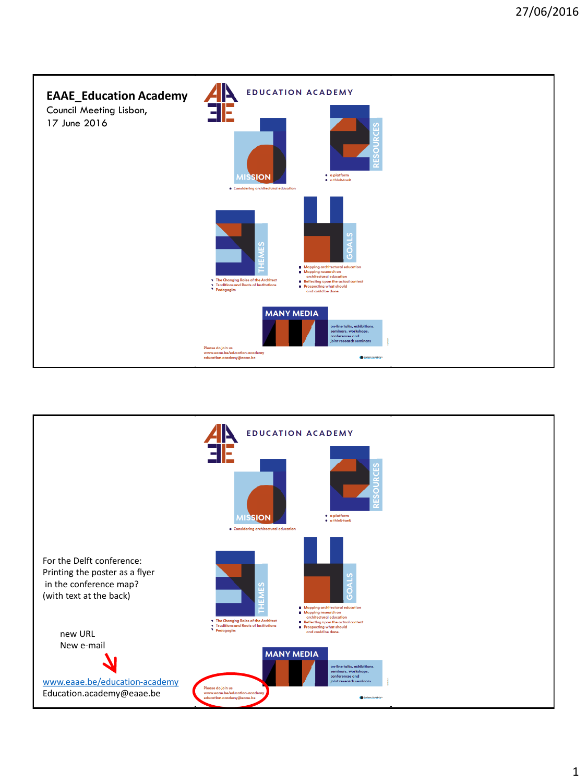

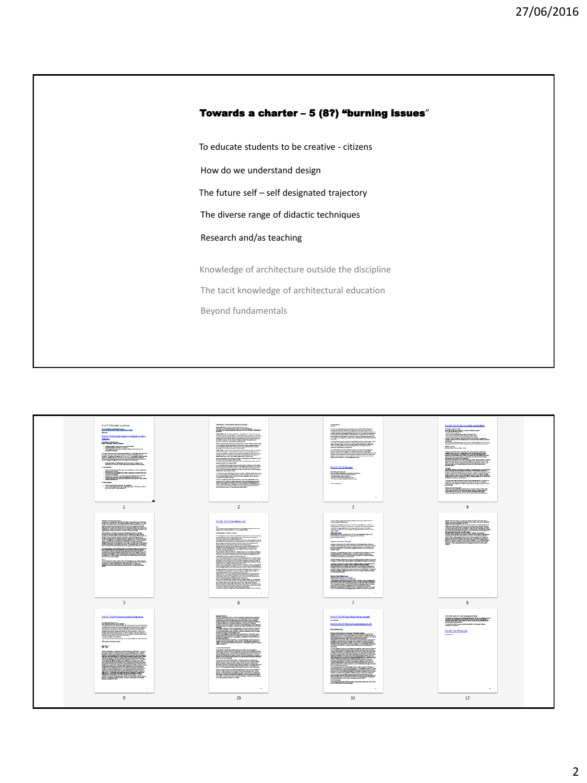

To educate students to be creative - citizens

How do we understand design

The future self – self designated trajectory

The diverse range of didactic techniques

Research and/as teaching

The tacit knowledge of architectural education Knowledge of architecture outside the discipline Beyond fundamentals

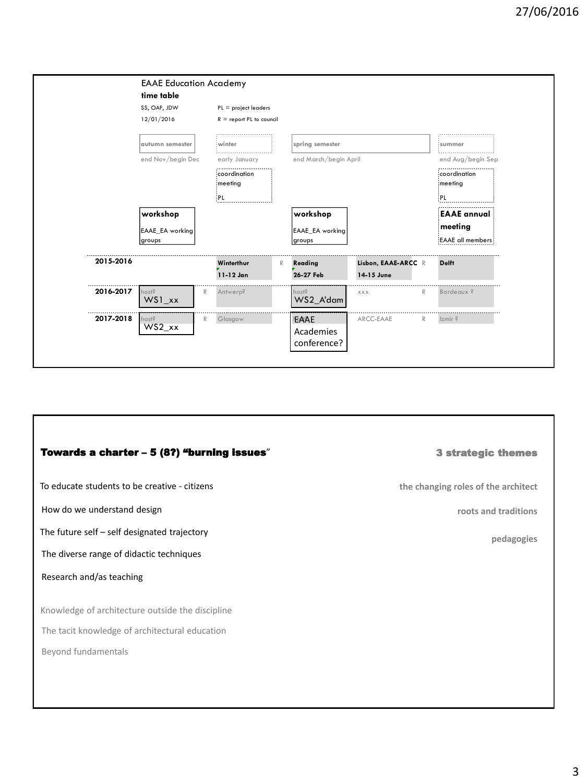|           | <b>EAAE Education Academy</b><br>time table |                                                      |   |                       |                                   |              |                         |
|-----------|---------------------------------------------|------------------------------------------------------|---|-----------------------|-----------------------------------|--------------|-------------------------|
|           | SS, OAF, JDW<br>12/01/2016                  | $PL = project leaders$<br>$R =$ report PL to council |   |                       |                                   |              |                         |
|           | autumn semester                             | winter                                               |   | spring semester       |                                   |              | summer                  |
|           | end Nov/begin Dec                           | early January                                        |   | end March/begin April |                                   |              | end Aug/begin Sep       |
|           |                                             | coordination<br>meeting                              |   |                       |                                   |              | coordination<br>meeting |
|           |                                             | PL                                                   |   |                       |                                   |              | PL.                     |
|           | workshop                                    |                                                      |   | workshop              |                                   |              | <b>EAAE</b> annual      |
|           | EAAE EA working                             |                                                      |   | EAAE EA working       |                                   |              | meeting                 |
|           | groups                                      |                                                      |   | groups                |                                   |              | <b>EAAE</b> all members |
| 2015-2016 |                                             | Winterthur<br>11-12 Jan                              | R | Reading<br>26-27 Feb  | Lisbon, EAAE-ARCC R<br>14-15 June |              | <b>Delft</b>            |
| 2016-2017 | host?<br>R<br>$WS1_{xx}$                    | Antwerp?                                             |   | host?<br>WS2 A'dam    | XXX                               | R            | Bordeaux?               |
| 2017-2018 | host?<br>R<br>$WS2_{\text{-}xx}$            | Glasgow                                              |   | EAAE                  | ARCC-EAAE                         | $\mathbb{R}$ | $zmir$ ?                |
|           |                                             |                                                      |   | Academies             |                                   |              |                         |

## To educate students to be creative - citizens The future self – self designated trajectory The tacit knowledge of architectural education Knowledge of architecture outside the discipline Research and/as teaching Beyond fundamentals Towards a charter – 5 (8?) "burning issues" The diverse range of didactic techniques How do we understand design 3 strategic themes **the changing roles of the architect roots and traditions pedagogies**